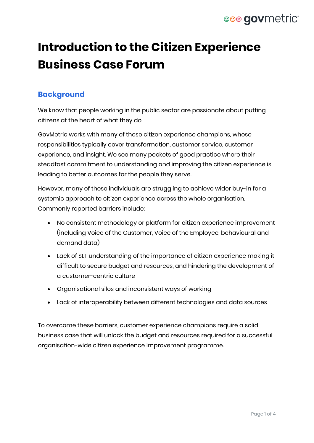# **eee gov**metric

# **Introduction to the Citizen Experience Business Case Forum**

### **Background**

We know that people working in the public sector are passionate about putting citizens at the heart of what they do.

GovMetric works with many of these citizen experience champions, whose responsibilities typically cover transformation, customer service, customer experience, and insight. We see many pockets of good practice where their steadfast commitment to understanding and improving the citizen experience is leading to better outcomes for the people they serve.

However, many of these individuals are struggling to achieve wider buy-in for a systemic approach to citizen experience across the whole organisation. Commonly reported barriers include:

- No consistent methodology or platform for citizen experience improvement (including Voice of the Customer, Voice of the Employee, behavioural and demand data)
- Lack of SLT understanding of the importance of citizen experience making it difficult to secure budget and resources, and hindering the development of a customer-centric culture
- Organisational silos and inconsistent ways of working
- Lack of interoperability between different technologies and data sources

To overcome these barriers, customer experience champions require a solid business case that will unlock the budget and resources required for a successful organisation-wide citizen experience improvement programme.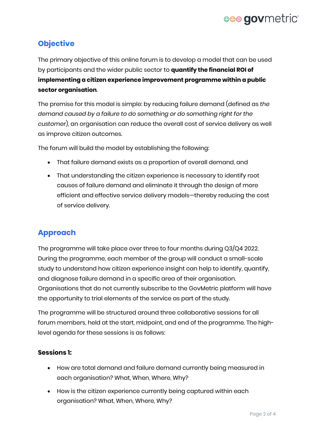# eee govmetric

### **Objective**

The primary objective of this online forum is to develop a model that can be used by participants and the wider public sector to **quantify the financial ROI of implementing a citizen experience improvement programme within a public sector organisation**.

The premise for this model is simple: by reducing failure demand (defined as *the demand caused by a failure to do something or do something right for the customer*), an organisation can reduce the overall cost of service delivery as well as improve citizen outcomes.

The forum will build the model by establishing the following:

- That failure demand exists as a proportion of overall demand, and
- That understanding the citizen experience is necessary to identify root causes of failure demand and eliminate it through the design of more efficient and effective service delivery models—thereby reducing the cost of service delivery.

## **Approach**

The programme will take place over three to four months during Q3/Q4 2022. During the programme, each member of the group will conduct a small-scale study to understand how citizen experience insight can help to identify, quantify, and diagnose failure demand in a specific area of their organisation. Organisations that do not currently subscribe to the GovMetric platform will have the opportunity to trial elements of the service as part of the study.

The programme will be structured around three collaborative sessions for all forum members, held at the start, midpoint, and end of the programme. The highlevel agenda for these sessions is as follows:

#### **Sessions 1:**

- How are total demand and failure demand currently being measured in each organisation? What, When, Where, Why?
- How is the citizen experience currently being captured within each organisation? What, When, Where, Why?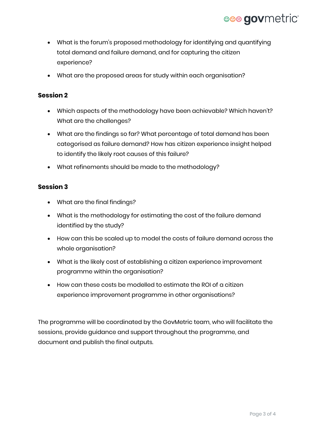# eee govmetric

- What is the forum's proposed methodology for identifying and quantifying total demand and failure demand, and for capturing the citizen experience?
- What are the proposed areas for study within each organisation?

#### **Session 2**

- Which aspects of the methodology have been achievable? Which haven't? What are the challenges?
- What are the findings so far? What percentage of total demand has been categorised as failure demand? How has citizen experience insight helped to identify the likely root causes of this failure?
- What refinements should be made to the methodology?

#### **Session 3**

- What are the final findings?
- What is the methodology for estimating the cost of the failure demand identified by the study?
- How can this be scaled up to model the costs of failure demand across the whole organisation?
- What is the likely cost of establishing a citizen experience improvement programme within the organisation?
- How can these costs be modelled to estimate the ROI of a citizen experience improvement programme in other organisations?

The programme will be coordinated by the GovMetric team, who will facilitate the sessions, provide guidance and support throughout the programme, and document and publish the final outputs.